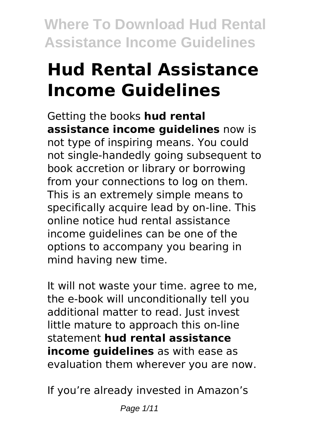# **Hud Rental Assistance Income Guidelines**

Getting the books **hud rental assistance income guidelines** now is not type of inspiring means. You could not single-handedly going subsequent to book accretion or library or borrowing from your connections to log on them. This is an extremely simple means to specifically acquire lead by on-line. This online notice hud rental assistance income guidelines can be one of the options to accompany you bearing in mind having new time.

It will not waste your time. agree to me, the e-book will unconditionally tell you additional matter to read. Just invest little mature to approach this on-line statement **hud rental assistance income guidelines** as with ease as evaluation them wherever you are now.

If you're already invested in Amazon's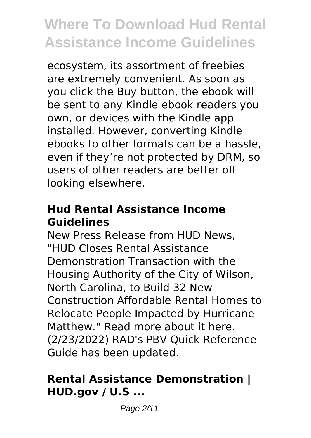ecosystem, its assortment of freebies are extremely convenient. As soon as you click the Buy button, the ebook will be sent to any Kindle ebook readers you own, or devices with the Kindle app installed. However, converting Kindle ebooks to other formats can be a hassle, even if they're not protected by DRM, so users of other readers are better off looking elsewhere.

### **Hud Rental Assistance Income Guidelines**

New Press Release from HUD News, "HUD Closes Rental Assistance Demonstration Transaction with the Housing Authority of the City of Wilson, North Carolina, to Build 32 New Construction Affordable Rental Homes to Relocate People Impacted by Hurricane Matthew." Read more about it here. (2/23/2022) RAD's PBV Quick Reference Guide has been updated.

#### **Rental Assistance Demonstration | HUD.gov / U.S ...**

Page 2/11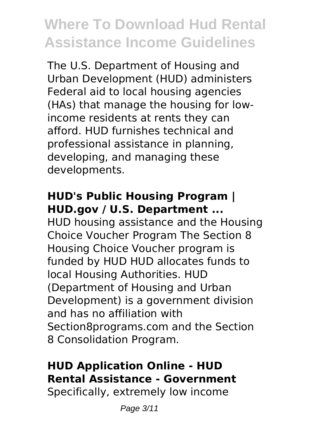The U.S. Department of Housing and Urban Development (HUD) administers Federal aid to local housing agencies (HAs) that manage the housing for lowincome residents at rents they can afford. HUD furnishes technical and professional assistance in planning, developing, and managing these developments.

### **HUD's Public Housing Program | HUD.gov / U.S. Department ...**

HUD housing assistance and the Housing Choice Voucher Program The Section 8 Housing Choice Voucher program is funded by HUD HUD allocates funds to local Housing Authorities. HUD (Department of Housing and Urban Development) is a government division and has no affiliation with Section8programs.com and the Section 8 Consolidation Program.

# **HUD Application Online - HUD Rental Assistance - Government**

Specifically, extremely low income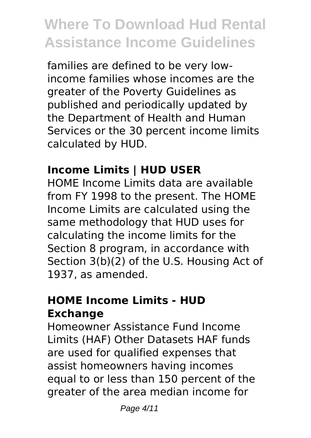families are defined to be very lowincome families whose incomes are the greater of the Poverty Guidelines as published and periodically updated by the Department of Health and Human Services or the 30 percent income limits calculated by HUD.

# **Income Limits | HUD USER**

HOME Income Limits data are available from FY 1998 to the present. The HOME Income Limits are calculated using the same methodology that HUD uses for calculating the income limits for the Section 8 program, in accordance with Section 3(b)(2) of the U.S. Housing Act of 1937, as amended.

### **HOME Income Limits - HUD Exchange**

Homeowner Assistance Fund Income Limits (HAF) Other Datasets HAF funds are used for qualified expenses that assist homeowners having incomes equal to or less than 150 percent of the greater of the area median income for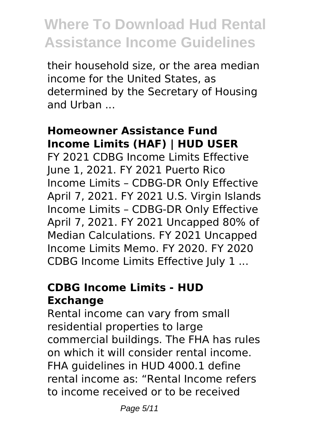their household size, or the area median income for the United States, as determined by the Secretary of Housing and Urban ...

#### **Homeowner Assistance Fund Income Limits (HAF) | HUD USER**

FY 2021 CDBG Income Limits Effective June 1, 2021. FY 2021 Puerto Rico Income Limits – CDBG-DR Only Effective April 7, 2021. FY 2021 U.S. Virgin Islands Income Limits – CDBG-DR Only Effective April 7, 2021. FY 2021 Uncapped 80% of Median Calculations. FY 2021 Uncapped Income Limits Memo. FY 2020. FY 2020 CDBG Income Limits Effective July 1 ...

### **CDBG Income Limits - HUD Exchange**

Rental income can vary from small residential properties to large commercial buildings. The FHA has rules on which it will consider rental income. FHA guidelines in HUD 4000.1 define rental income as: "Rental Income refers to income received or to be received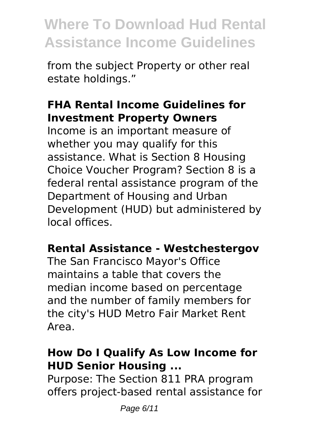from the subject Property or other real estate holdings."

### **FHA Rental Income Guidelines for Investment Property Owners**

Income is an important measure of whether you may qualify for this assistance. What is Section 8 Housing Choice Voucher Program? Section 8 is a federal rental assistance program of the Department of Housing and Urban Development (HUD) but administered by local offices.

### **Rental Assistance - Westchestergov**

The San Francisco Mayor's Office maintains a table that covers the median income based on percentage and the number of family members for the city's HUD Metro Fair Market Rent Area.

### **How Do I Qualify As Low Income for HUD Senior Housing ...**

Purpose: The Section 811 PRA program offers project-based rental assistance for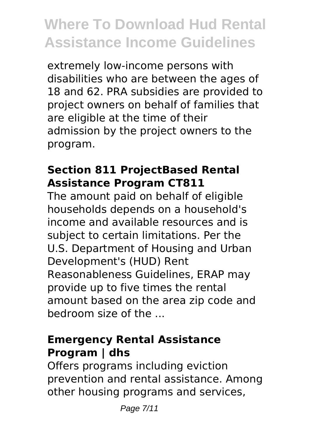extremely low-income persons with disabilities who are between the ages of 18 and 62. PRA subsidies are provided to project owners on behalf of families that are eligible at the time of their admission by the project owners to the program.

#### **Section 811 ProjectBased Rental Assistance Program CT811**

The amount paid on behalf of eligible households depends on a household's income and available resources and is subject to certain limitations. Per the U.S. Department of Housing and Urban Development's (HUD) Rent Reasonableness Guidelines, ERAP may provide up to five times the rental amount based on the area zip code and bedroom size of the ...

### **Emergency Rental Assistance Program | dhs**

Offers programs including eviction prevention and rental assistance. Among other housing programs and services,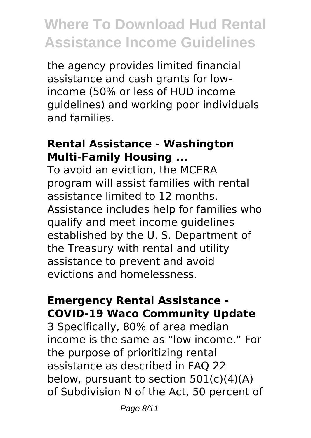the agency provides limited financial assistance and cash grants for lowincome (50% or less of HUD income guidelines) and working poor individuals and families.

#### **Rental Assistance - Washington Multi-Family Housing ...**

To avoid an eviction, the MCERA program will assist families with rental assistance limited to 12 months. Assistance includes help for families who qualify and meet income guidelines established by the U. S. Department of the Treasury with rental and utility assistance to prevent and avoid evictions and homelessness.

#### **Emergency Rental Assistance - COVID-19 Waco Community Update**

3 Specifically, 80% of area median income is the same as "low income." For the purpose of prioritizing rental assistance as described in FAQ 22 below, pursuant to section  $501(c)(4)(A)$ of Subdivision N of the Act, 50 percent of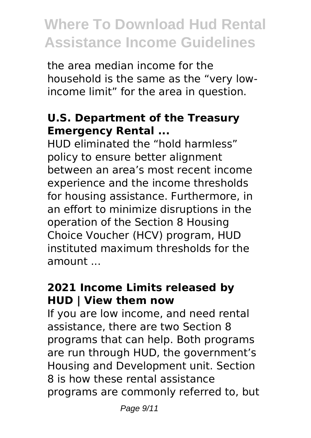the area median income for the household is the same as the "very lowincome limit" for the area in question.

### **U.S. Department of the Treasury Emergency Rental ...**

HUD eliminated the "hold harmless" policy to ensure better alignment between an area's most recent income experience and the income thresholds for housing assistance. Furthermore, in an effort to minimize disruptions in the operation of the Section 8 Housing Choice Voucher (HCV) program, HUD instituted maximum thresholds for the amount ...

## **2021 Income Limits released by HUD | View them now**

If you are low income, and need rental assistance, there are two Section 8 programs that can help. Both programs are run through HUD, the government's Housing and Development unit. Section 8 is how these rental assistance programs are commonly referred to, but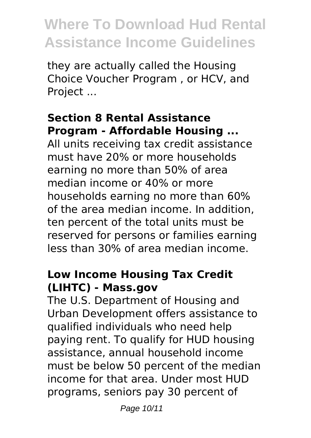they are actually called the Housing Choice Voucher Program , or HCV, and Project ...

### **Section 8 Rental Assistance Program - Affordable Housing ...**

All units receiving tax credit assistance must have 20% or more households earning no more than 50% of area median income or 40% or more households earning no more than 60% of the area median income. In addition, ten percent of the total units must be reserved for persons or families earning less than 30% of area median income.

#### **Low Income Housing Tax Credit (LIHTC) - Mass.gov**

The U.S. Department of Housing and Urban Development offers assistance to qualified individuals who need help paying rent. To qualify for HUD housing assistance, annual household income must be below 50 percent of the median income for that area. Under most HUD programs, seniors pay 30 percent of